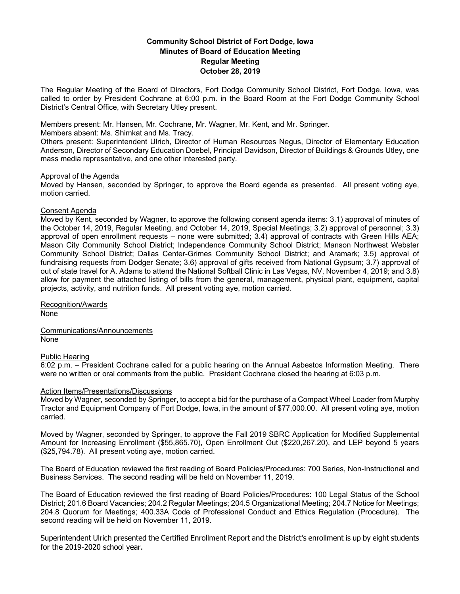# **Community School District of Fort Dodge, Iowa Minutes of Board of Education Meeting Regular Meeting October 28, 2019**

The Regular Meeting of the Board of Directors, Fort Dodge Community School District, Fort Dodge, Iowa, was called to order by President Cochrane at 6:00 p.m. in the Board Room at the Fort Dodge Community School District's Central Office, with Secretary Utley present.

Members present: Mr. Hansen, Mr. Cochrane, Mr. Wagner, Mr. Kent, and Mr. Springer.

Members absent: Ms. Shimkat and Ms. Tracy.

Others present: Superintendent Ulrich, Director of Human Resources Negus, Director of Elementary Education Anderson, Director of Secondary Education Doebel, Principal Davidson, Director of Buildings & Grounds Utley, one mass media representative, and one other interested party.

## Approval of the Agenda

Moved by Hansen, seconded by Springer, to approve the Board agenda as presented. All present voting aye, motion carried.

## Consent Agenda

Moved by Kent, seconded by Wagner, to approve the following consent agenda items: 3.1) approval of minutes of the October 14, 2019, Regular Meeting, and October 14, 2019, Special Meetings; 3.2) approval of personnel; 3.3) approval of open enrollment requests – none were submitted; 3.4) approval of contracts with Green Hills AEA; Mason City Community School District; Independence Community School District; Manson Northwest Webster Community School District; Dallas Center-Grimes Community School District; and Aramark; 3.5) approval of fundraising requests from Dodger Senate; 3.6) approval of gifts received from National Gypsum; 3.7) approval of out of state travel for A. Adams to attend the National Softball Clinic in Las Vegas, NV, November 4, 2019; and 3.8) allow for payment the attached listing of bills from the general, management, physical plant, equipment, capital projects, activity, and nutrition funds. All present voting aye, motion carried.

Recognition/Awards None

Communications/Announcements None

## Public Hearing

6:02 p.m. – President Cochrane called for a public hearing on the Annual Asbestos Information Meeting. There were no written or oral comments from the public. President Cochrane closed the hearing at 6:03 p.m.

## Action Items/Presentations/Discussions

Moved by Wagner, seconded by Springer, to accept a bid for the purchase of a Compact Wheel Loader from Murphy Tractor and Equipment Company of Fort Dodge, Iowa, in the amount of \$77,000.00. All present voting aye, motion carried.

Moved by Wagner, seconded by Springer, to approve the Fall 2019 SBRC Application for Modified Supplemental Amount for Increasing Enrollment (\$55,865.70), Open Enrollment Out (\$220,267.20), and LEP beyond 5 years (\$25,794.78). All present voting aye, motion carried.

The Board of Education reviewed the first reading of Board Policies/Procedures: 700 Series, Non-Instructional and Business Services. The second reading will be held on November 11, 2019.

The Board of Education reviewed the first reading of Board Policies/Procedures: 100 Legal Status of the School District; 201.6 Board Vacancies; 204.2 Regular Meetings; 204.5 Organizational Meeting; 204.7 Notice for Meetings; 204.8 Quorum for Meetings; 400.33A Code of Professional Conduct and Ethics Regulation (Procedure). The second reading will be held on November 11, 2019.

Superintendent Ulrich presented the Certified Enrollment Report and the District's enrollment is up by eight students for the 2019-2020 school year.